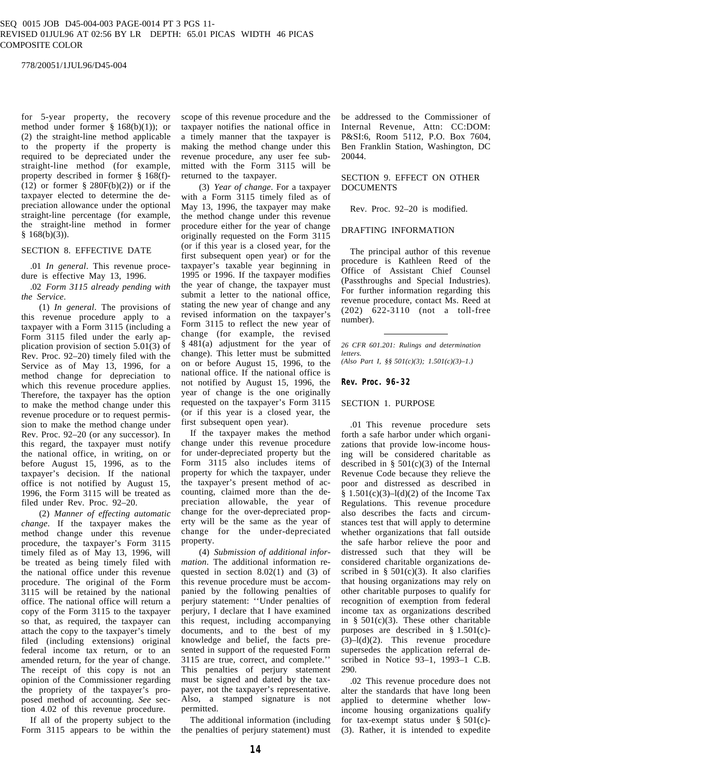*26 CFR 601.201: Rulings and determination letters. (Also Part I, §§ 501(c)(3); 1.501(c)(3)–1.)* 

# **Rev. Proc. 96–32**

#### SECTION 1. PURPOSE

.01 This revenue procedure sets forth a safe harbor under which organizations that provide low-income housing will be considered charitable as described in §  $501(c)(3)$  of the Internal Revenue Code because they relieve the poor and distressed as described in  $\frac{2}{9}$  1.501(c)(3)–l(d)(2) of the Income Tax Regulations. This revenue procedure also describes the facts and circumstances test that will apply to determine whether organizations that fall outside the safe harbor relieve the poor and distressed such that they will be considered charitable organizations described in §  $501(c)(3)$ . It also clarifies that housing organizations may rely on other charitable purposes to qualify for recognition of exemption from federal income tax as organizations described in §  $501(c)(3)$ . These other charitable purposes are described in § 1.501(c)-  $(3)-l(d)(2)$ . This revenue procedure supersedes the application referral described in Notice 93-1, 1993-1 C.B. 290.

.02 This revenue procedure does not alter the standards that have long been applied to determine whether lowincome housing organizations qualify for tax-exempt status under § 501(c)- (3). Rather, it is intended to expedite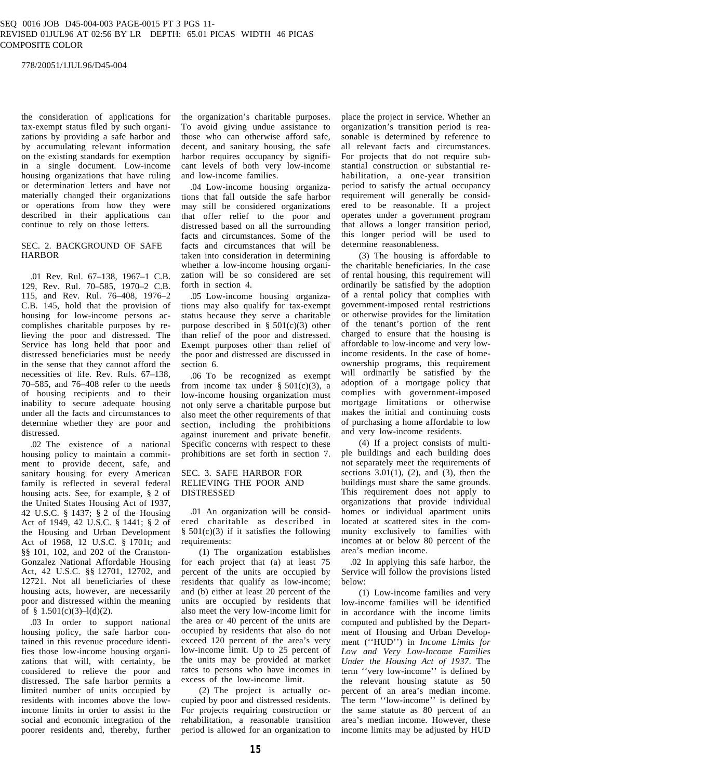the consideration of applications for tax-exempt status filed by such organizations by providing a safe harbor and by accumulating relevant information on the existing standards for exemption in a single document. Low-income housing organizations that have ruling or determination letters and have not materially changed their organizations or operations from how they were described in their applications can continue to rely on those letters.

## SEC. 2. BACKGROUND OF SAFE HARBOR

.01 Rev. Rul. 67–138, 1967–1 C.B. 129, Rev. Rul. 70–585, 1970–2 C.B. 115, and Rev. Rul. 76–408, 1976–2 C.B. 145, hold that the provision of housing for low-income persons accomplishes charitable purposes by relieving the poor and distressed. The Service has long held that poor and distressed beneficiaries must be needy in the sense that they cannot afford the necessities of life. Rev. Ruls. 67–138, 70–585, and 76–408 refer to the needs of housing recipients and to their inability to secure adequate housing under all the facts and circumstances to determine whether they are poor and distressed.

.02 The existence of a national housing policy to maintain a commitment to provide decent, safe, and sanitary housing for every American family is reflected in several federal housing acts. See, for example, § 2 of the United States Housing Act of 1937, 42 U.S.C. § 1437; § 2 of the Housing Act of 1949, 42 U.S.C. § 1441; § 2 of the Housing and Urban Development Act of 1968, 12 U.S.C. § 1701t; and §§ 101, 102, and 202 of the Cranston-Gonzalez National Affordable Housing Act, 42 U.S.C. §§ 12701, 12702, and 12721. Not all beneficiaries of these housing acts, however, are necessarily poor and distressed within the meaning of § 1.501(c)(3)–l(d)(2).

.03 In order to support national housing policy, the safe harbor contained in this revenue procedure identifies those low-income housing organizations that will, with certainty, be considered to relieve the poor and distressed. The safe harbor permits a limited number of units occupied by residents with incomes above the lowincome limits in order to assist in the social and economic integration of the poorer residents and, thereby, further

the organization's charitable purposes. To avoid giving undue assistance to those who can otherwise afford safe, decent, and sanitary housing, the safe harbor requires occupancy by significant levels of both very low-income and low-income families.

.04 Low-income housing organizations that fall outside the safe harbor may still be considered organizations that offer relief to the poor and distressed based on all the surrounding facts and circumstances. Some of the facts and circumstances that will be taken into consideration in determining whether a low-income housing organization will be so considered are set forth in section 4.

.05 Low-income housing organizations may also qualify for tax-exempt status because they serve a charitable purpose described in  $\S$  501(c)(3) other than relief of the poor and distressed. Exempt purposes other than relief of the poor and distressed are discussed in section 6.

.06 To be recognized as exempt from income tax under  $\S$  501(c)(3), a low-income housing organization must not only serve a charitable purpose but also meet the other requirements of that section, including the prohibitions against inurement and private benefit. Specific concerns with respect to these prohibitions are set forth in section 7.

# SEC. 3. SAFE HARBOR FOR RELIEVING THE POOR AND DISTRESSED

.01 An organization will be considered charitable as described in  $§ 501(c)(3)$  if it satisfies the following requirements:

(1) The organization establishes for each project that (a) at least 75 percent of the units are occupied by residents that qualify as low-income; and (b) either at least 20 percent of the units are occupied by residents that also meet the very low-income limit for the area or 40 percent of the units are occupied by residents that also do not exceed 120 percent of the area's very low-income limit. Up to 25 percent of the units may be provided at market rates to persons who have incomes in excess of the low-income limit.

(2) The project is actually occupied by poor and distressed residents. For projects requiring construction or rehabilitation, a reasonable transition period is allowed for an organization to

place the project in service. Whether an organization's transition period is reasonable is determined by reference to all relevant facts and circumstances. For projects that do not require substantial construction or substantial rehabilitation, a one-year transition period to satisfy the actual occupancy requirement will generally be considered to be reasonable. If a project operates under a government program that allows a longer transition period, this longer period will be used to determine reasonableness.

(3) The housing is affordable to the charitable beneficiaries. In the case of rental housing, this requirement will ordinarily be satisfied by the adoption of a rental policy that complies with government-imposed rental restrictions or otherwise provides for the limitation of the tenant's portion of the rent charged to ensure that the housing is affordable to low-income and very lowincome residents. In the case of homeownership programs, this requirement will ordinarily be satisfied by the adoption of a mortgage policy that complies with government-imposed mortgage limitations or otherwise makes the initial and continuing costs of purchasing a home affordable to low and very low-income residents.

(4) If a project consists of multiple buildings and each building does not separately meet the requirements of sections  $3.01(1)$ ,  $(2)$ , and  $(3)$ , then the buildings must share the same grounds. This requirement does not apply to organizations that provide individual homes or individual apartment units located at scattered sites in the community exclusively to families with incomes at or below 80 percent of the area's median income.

.02 In applying this safe harbor, the Service will follow the provisions listed below:

(1) Low-income families and very low-income families will be identified in accordance with the income limits computed and published by the Department of Housing and Urban Development (''HUD'') in *Income Limits for Low and Very Low-Income Families Under the Housing Act of 1937*. The term ''very low-income'' is defined by the relevant housing statute as 50 percent of an area's median income. The term ''low-income'' is defined by the same statute as 80 percent of an area's median income. However, these income limits may be adjusted by HUD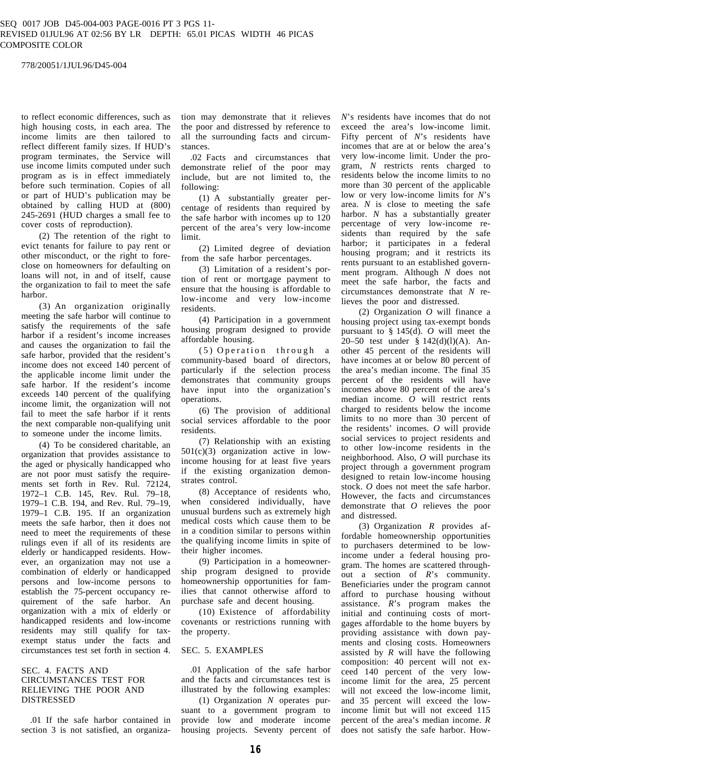to reflect economic differences, such as high housing costs, in each area. The income limits are then tailored to reflect different family sizes. If HUD's program terminates, the Service will use income limits computed under such program as is in effect immediately before such termination. Copies of all or part of HUD's publication may be obtained by calling HUD at (800) 245-2691 (HUD charges a small fee to cover costs of reproduction).

(2) The retention of the right to evict tenants for failure to pay rent or other misconduct, or the right to foreclose on homeowners for defaulting on loans will not, in and of itself, cause the organization to fail to meet the safe harbor.

(3) An organization originally meeting the safe harbor will continue to satisfy the requirements of the safe harbor if a resident's income increases and causes the organization to fail the safe harbor, provided that the resident's income does not exceed 140 percent of the applicable income limit under the safe harbor. If the resident's income exceeds 140 percent of the qualifying income limit, the organization will not fail to meet the safe harbor if it rents the next comparable non-qualifying unit to someone under the income limits.

(4) To be considered charitable, an organization that provides assistance to the aged or physically handicapped who are not poor must satisfy the requirements set forth in Rev. Rul. 72124, 1972–1 C.B. 145, Rev. Rul. 79–18, 1979–1 C.B. 194, and Rev. Rul. 79–19, 1979–1 C.B. 195. If an organization meets the safe harbor, then it does not need to meet the requirements of these rulings even if all of its residents are elderly or handicapped residents. However, an organization may not use a combination of elderly or handicapped persons and low-income persons to establish the 75-percent occupancy requirement of the safe harbor. An organization with a mix of elderly or handicapped residents and low-income residents may still qualify for taxexempt status under the facts and circumstances test set forth in section 4.

# SEC. 4. FACTS AND CIRCUMSTANCES TEST FOR RELIEVING THE POOR AND DISTRESSED

.01 If the safe harbor contained in section 3 is not satisfied, an organization may demonstrate that it relieves the poor and distressed by reference to all the surrounding facts and circumstances.

.02 Facts and circumstances that demonstrate relief of the poor may include, but are not limited to, the following:

(1) A substantially greater percentage of residents than required by the safe harbor with incomes up to 120 percent of the area's very low-income limit.

(2) Limited degree of deviation from the safe harbor percentages.

(3) Limitation of a resident's portion of rent or mortgage payment to ensure that the housing is affordable to low-income and very low-income residents.

(4) Participation in a government housing program designed to provide affordable housing.

 $(5)$  Operation through a community-based board of directors, particularly if the selection process demonstrates that community groups have input into the organization's operations.

(6) The provision of additional social services affordable to the poor residents.

(7) Relationship with an existing  $501(c)(3)$  organization active in lowincome housing for at least five years if the existing organization demonstrates control.

(8) Acceptance of residents who, when considered individually, have unusual burdens such as extremely high medical costs which cause them to be in a condition similar to persons within the qualifying income limits in spite of their higher incomes.

(9) Participation in a homeownership program designed to provide homeownership opportunities for families that cannot otherwise afford to purchase safe and decent housing.

(10) Existence of affordability covenants or restrictions running with the property.

# SEC. 5. EXAMPLES

.01 Application of the safe harbor and the facts and circumstances test is illustrated by the following examples:

(1) Organization *N* operates pursuant to a government program to provide low and moderate income housing projects. Seventy percent of *N*'s residents have incomes that do not exceed the area's low-income limit. Fifty percent of *N*'s residents have incomes that are at or below the area's very low-income limit. Under the program, *N* restricts rents charged to residents below the income limits to no more than 30 percent of the applicable low or very low-income limits for *N*'s area. *N* is close to meeting the safe harbor. *N* has a substantially greater percentage of very low-income residents than required by the safe harbor; it participates in a federal housing program; and it restricts its rents pursuant to an established government program. Although *N* does not meet the safe harbor, the facts and circumstances demonstrate that *N* relieves the poor and distressed.

(2) Organization *O* will finance a housing project using tax-exempt bonds pursuant to § 145(d). *O* will meet the 20–50 test under § 142(d)(l)(A). Another 45 percent of the residents will have incomes at or below 80 percent of the area's median income. The final 35 percent of the residents will have incomes above 80 percent of the area's median income. *O* will restrict rents charged to residents below the income limits to no more than 30 percent of the residents' incomes. *O* will provide social services to project residents and to other low-income residents in the neighborhood. Also, *O* will purchase its project through a government program designed to retain low-income housing stock. *O* does not meet the safe harbor. However, the facts and circumstances demonstrate that *O* relieves the poor and distressed.

(3) Organization *R* provides affordable homeownership opportunities to purchasers determined to be lowincome under a federal housing program. The homes are scattered throughout a section of *R*'s community. Beneficiaries under the program cannot afford to purchase housing without assistance. *R*'s program makes the initial and continuing costs of mortgages affordable to the home buyers by providing assistance with down payments and closing costs. Homeowners assisted by *R* will have the following composition: 40 percent will not exceed 140 percent of the very lowincome limit for the area, 25 percent will not exceed the low-income limit, and 35 percent will exceed the lowincome limit but will not exceed 115 percent of the area's median income. *R* does not satisfy the safe harbor. How